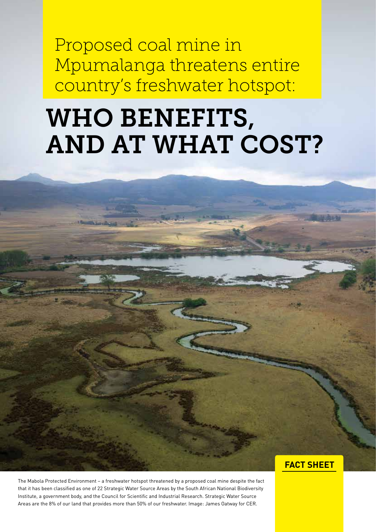# Proposed coal mine in Mpumalanga threatens entire country's freshwater hotspot:

# WHO BENEFITS, AND AT WHAT COST?

The Mabola Protected Environment – a freshwater hotspot threatened by a proposed coal mine despite the fact that it has been classified as one of 22 Strategic Water Source Areas by the South African National Biodiversity Institute, a government body, and the Council for Scientific and Industrial Research. Strategic Water Source Areas are the 8% of our land that provides more than 50% of our freshwater. Image: James Oatway for CER.

#### **FACT SHEET**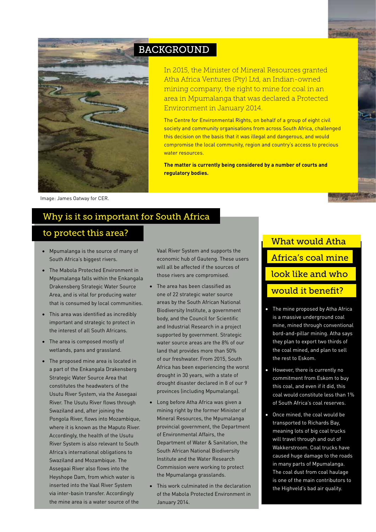

#### BACKGROUND

In 2015, the Minister of Mineral Resources granted Atha Africa Ventures (Pty) Ltd, an Indian-owned mining company, the right to mine for coal in an area in Mpumalanga that was declared a Protected Environment in January 2014.

The Centre for Environmental Rights, on behalf of a group of eight civil society and community organisations from across South Africa, challenged this decision on the basis that it was illegal and dangerous, and would compromise the local community, region and country's access to precious water resources.

**The matter is currently being considered by a number of courts and regulatory bodies.**

Image: James Oatway for CER.

#### Why is it so important for South Africa

#### to protect this area?

- • Mpumalanga is the source of many of South Africa's biggest rivers.
- • The Mabola Protected Environment in Mpumalanga falls within the Enkangala Drakensberg Strategic Water Source Area, and is vital for producing water that is consumed by local communities.
- • This area was identified as incredibly important and strategic to protect in the interest of all South Africans.
- The area is composed mostly of wetlands, pans and grassland.
- • The proposed mine area is located in a part of the Enkangala Drakensberg Strategic Water Source Area that constitutes the headwaters of the Usutu River System, via the Assegaai River. The Usutu River flows through Swaziland and, after joining the Pongola River, flows into Mozambique, where it is known as the Maputo River. Accordingly, the health of the Usutu River System is also relevant to South Africa's international obligations to Swaziland and Mozambique. The Assegaai River also flows into the Heyshope Dam, from which water is inserted into the Vaal River System via inter-basin transfer. Accordingly the mine area is a water source of the

Vaal River System and supports the economic hub of Gauteng. These users will all be affected if the sources of those rivers are compromised.

- The area has been classified as one of 22 strategic water source areas by the South African National Biodiversity Institute, a government body, and the Council for Scientific and Industrial Research in a project supported by government. Strategic water source areas are the 8% of our land that provides more than 50% of our freshwater. From 2015, South Africa has been experiencing the worst drought in 30 years, with a state of drought disaster declared in 8 of our 9 provinces (including Mpumalanga).
- • Long before Atha Africa was given a mining right by the former Minister of Mineral Resources, the Mpumalanga provincial government, the Department of Environmental Affairs, the Department of Water & Sanitation, the South African National Biodiversity Institute and the Water Research Commission were working to protect the Mpumalanga grasslands.
- • This work culminated in the declaration of the Mabola Protected Environment in January 2014.

# What would Atha Africa's coal mine look like and who

#### would it benefit?

- The mine proposed by Atha Africa is a massive underground coal mine, mined through conventional bord-and-pillar mining. Atha says they plan to export two thirds of the coal mined, and plan to sell the rest to Eskom.
- • However, there is currently no commitment from Eskom to buy this coal, and even if it did, this coal would constitute less than 1% of South Africa's coal reserves.
- • Once mined, the coal would be transported to Richards Bay, meaning lots of big coal trucks will travel through and out of Wakkerstroom. Coal trucks have caused huge damage to the roads in many parts of Mpumalanga. The coal dust from coal haulage is one of the main contributors to the Highveld's bad air quality.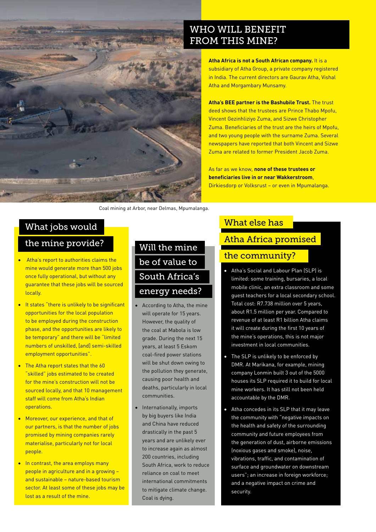

#### WHO WILL BENEFIT FROM THIS MINE?

**Atha Africa is not a South African company.** It is a subsidiary of Atha Group, a private company registered in India. The current directors are Gaurav Atha, Vishal Atha and Morgambary Munsamy.

**Atha's BEE partner is the Bashubile Trust.** The trust deed shows that the trustees are Prince Thabo Mpofu, Vincent Gezinhliziyo Zuma, and Sizwe Christopher Zuma. Beneficiaries of the trust are the heirs of Mpofu, and two young people with the surname Zuma. Several newspapers have reported that both Vincent and Sizwe Zuma are related to former President Jacob Zuma.

As far as we know, **none of these trustees or beneficiaries live in or near Wakkerstroom**, Dirkiesdorp or Volksrust – or even in Mpumalanga.

Coal mining at Arbor, near Delmas, Mpumalanga.

#### What jobs would

#### the mine provide?

- **Atha's report to authorities claims the** mine would generate more than 500 jobs once fully operational, but without any guarantee that these jobs will be sourced locally.
- • It states "there is unlikely to be significant opportunities for the local population to be employed during the construction phase, and the opportunities are likely to be temporary" and there will be "limited numbers of unskilled, [and] semi-skilled employment opportunities".
- The Atha report states that the 60 "skilled" jobs estimated to be created for the mine's construction will not be sourced locally, and that 10 management staff will come from Atha's Indian operations.
- **Moreover, our experience, and that of** our partners, is that the number of jobs promised by mining companies rarely materialise, particularly not for local people.
- In contrast, the area employs many people in agriculture and in a growing – and sustainable – nature-based tourism sector. At least some of these jobs may be lost as a result of the mine.

### Will the mine be of value to South Africa's energy needs?

- • According to Atha, the mine will operate for 15 years. However, the quality of the coal at Mabola is low grade. During the next 15 years, at least 5 Eskom coal-fired power stations will be shut down owing to the pollution they generate, causing poor health and deaths, particularly in local communities.
- Internationally, imports by big buyers like India and China have reduced drastically in the past 5 years and are unlikely ever to increase again as almost 200 countries, including South Africa, work to reduce reliance on coal to meet international commitments to mitigate climate change. Coal is dying.

#### What else has

#### Atha Africa promised

#### the community?

- Atha's Social and Labour Plan (SLP) is limited: some training, bursaries, a local mobile clinic, an extra classroom and some guest teachers for a local secondary school. Total cost: R7.738 million over 5 years, about R1.5 million per year. Compared to revenue of at least R1 billion Atha claims it will create during the first 10 years of the mine's operations, this is not major investment in local communities.
- The SLP is unlikely to be enforced by DMR. At Marikana, for example, mining company Lonmin built 3 out of the 5000 houses its SLP required it to build for local mine workers. It has still not been held accountable by the DMR.
- • Atha concedes in its SLP that it may leave the community with "negative impacts on the health and safety of the surrounding community and future employees from the generation of dust, airborne emissions (noxious gases and smoke), noise, vibrations, traffic, and contamination of surface and groundwater on downstream users"; an increase in foreign workforce; and a negative impact on crime and security.